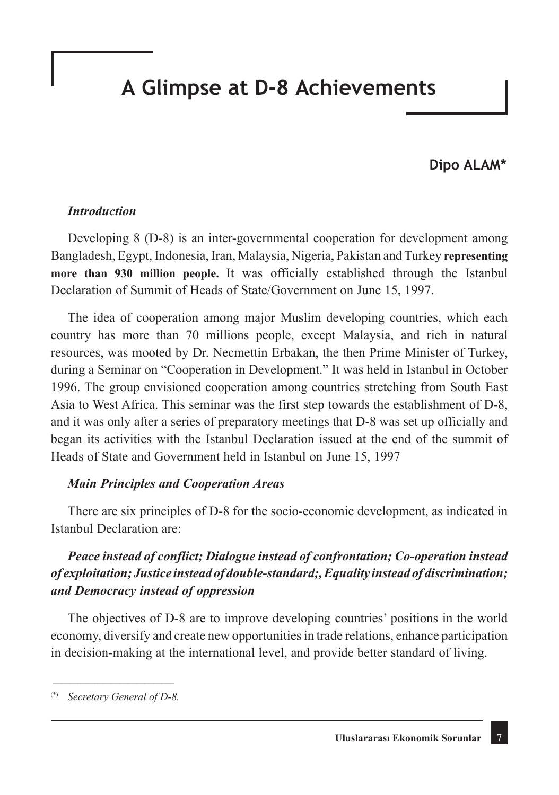# **A Glimpse at D-8 Achievements**

## **Dipo ALAM\***

#### *Introduction*

Developing 8 (D-8) is an inter-governmental cooperation for development among Bangladesh, Egypt, Indonesia, Iran, Malaysia, Nigeria, Pakistan and Turkey **representing more than 930 million people.** It was officially established through the Istanbul Declaration of Summit of Heads of State/Government on June 15, 1997.

The idea of cooperation among major Muslim developing countries, which each country has more than 70 millions people, except Malaysia, and rich in natural resources, was mooted by Dr. Necmettin Erbakan, the then Prime Minister of Turkey, during a Seminar on "Cooperation in Development." It was held in Istanbul in October 1996. The group envisioned cooperation among countries stretching from South East Asia to West Africa. This seminar was the first step towards the establishment of D-8, and it was only after a series of preparatory meetings that D-8 was set up officially and began its activities with the Istanbul Declaration issued at the end of the summit of Heads of State and Government held in Istanbul on June 15, 1997

#### *Main Principles and Cooperation Areas*

There are six principles of D-8 for the socio-economic development, as indicated in Istanbul Declaration are:

## *Peace instead of conflict; Dialogue instead of confrontation; Co-operation instead of exploitation; Justice instead of double-standard;, Equality instead of discrimination; and Democracy instead of oppression*

The objectives of D-8 are to improve developing countries' positions in the world economy, diversify and create new opportunities in trade relations, enhance participation in decision-making at the international level, and provide better standard of living.

\_\_\_\_\_\_\_\_\_\_\_\_\_\_\_\_\_\_\_\_\_\_\_\_\_\_\_\_\_ (\*) *Secretary General of D-8.*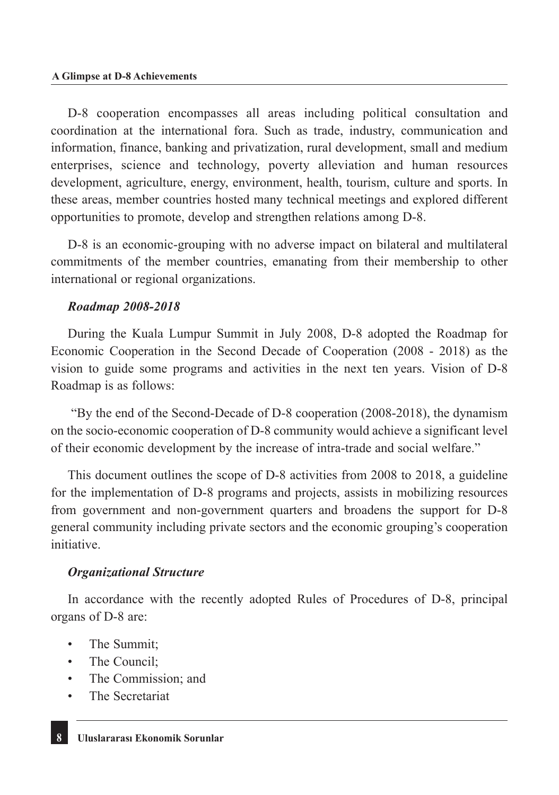D-8 cooperation encompasses all areas including political consultation and coordination at the international fora. Such as trade, industry, communication and information, finance, banking and privatization, rural development, small and medium enterprises, science and technology, poverty alleviation and human resources development, agriculture, energy, environment, health, tourism, culture and sports. In these areas, member countries hosted many technical meetings and explored different opportunities to promote, develop and strengthen relations among D-8.

D-8 is an economic-grouping with no adverse impact on bilateral and multilateral commitments of the member countries, emanating from their membership to other international or regional organizations.

### *Roadmap 2008-2018*

During the Kuala Lumpur Summit in July 2008, D-8 adopted the Roadmap for Economic Cooperation in the Second Decade of Cooperation (2008 - 2018) as the vision to guide some programs and activities in the next ten years. Vision of D-8 Roadmap is as follows:

 "By the end of the Second-Decade of D-8 cooperation (2008-2018), the dynamism on the socio-economic cooperation of D-8 community would achieve a significant level of their economic development by the increase of intra-trade and social welfare."

This document outlines the scope of D-8 activities from 2008 to 2018, a guideline for the implementation of D-8 programs and projects, assists in mobilizing resources from government and non-government quarters and broadens the support for D-8 general community including private sectors and the economic grouping's cooperation initiative.

## *Organizational Structure*

In accordance with the recently adopted Rules of Procedures of D-8, principal organs of D-8 are:

- The Summit;
- The Council:
- The Commission; and
- The Secretariat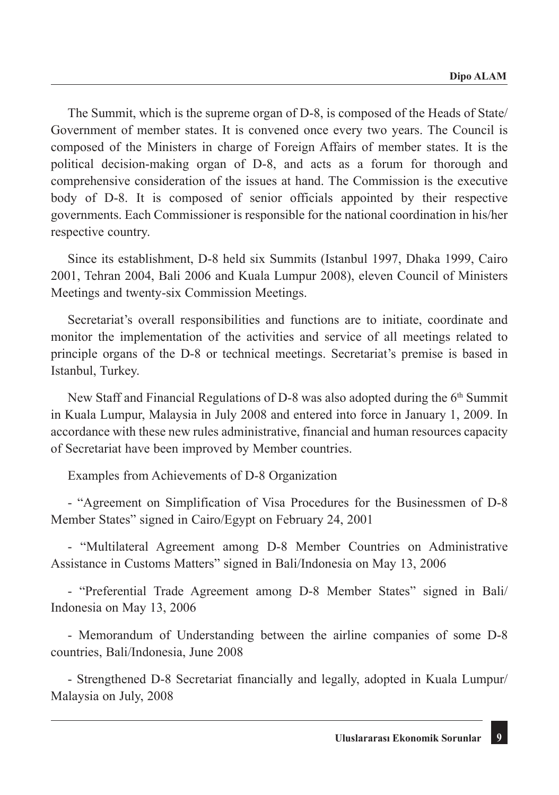The Summit, which is the supreme organ of D-8, is composed of the Heads of State/ Government of member states. It is convened once every two years. The Council is composed of the Ministers in charge of Foreign Affairs of member states. It is the political decision-making organ of D-8, and acts as a forum for thorough and comprehensive consideration of the issues at hand. The Commission is the executive body of D-8. It is composed of senior officials appointed by their respective governments. Each Commissioner is responsible for the national coordination in his/her respective country.

Since its establishment, D-8 held six Summits (Istanbul 1997, Dhaka 1999, Cairo 2001, Tehran 2004, Bali 2006 and Kuala Lumpur 2008), eleven Council of Ministers Meetings and twenty-six Commission Meetings.

Secretariat's overall responsibilities and functions are to initiate, coordinate and monitor the implementation of the activities and service of all meetings related to principle organs of the D-8 or technical meetings. Secretariat's premise is based in Istanbul, Turkey.

New Staff and Financial Regulations of D-8 was also adopted during the 6th Summit in Kuala Lumpur, Malaysia in July 2008 and entered into force in January 1, 2009. In accordance with these new rules administrative, financial and human resources capacity of Secretariat have been improved by Member countries.

Examples from Achievements of D-8 Organization

- "Agreement on Simplification of Visa Procedures for the Businessmen of D-8 Member States" signed in Cairo/Egypt on February 24, 2001

- "Multilateral Agreement among D-8 Member Countries on Administrative Assistance in Customs Matters" signed in Bali/Indonesia on May 13, 2006

- "Preferential Trade Agreement among D-8 Member States" signed in Bali/ Indonesia on May 13, 2006

- Memorandum of Understanding between the airline companies of some D-8 countries, Bali/Indonesia, June 2008

- Strengthened D-8 Secretariat financially and legally, adopted in Kuala Lumpur/ Malaysia on July, 2008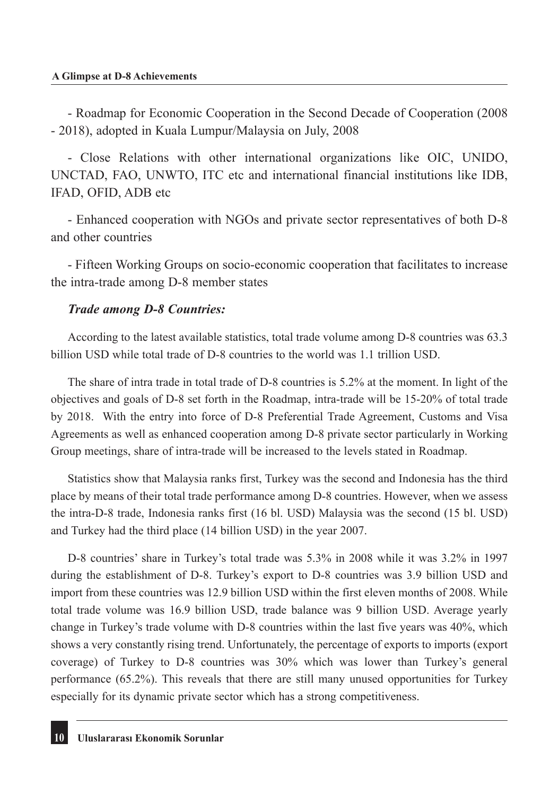- Roadmap for Economic Cooperation in the Second Decade of Cooperation (2008 - 2018), adopted in Kuala Lumpur/Malaysia on July, 2008

- Close Relations with other international organizations like OIC, UNIDO, UNCTAD, FAO, UNWTO, ITC etc and international financial institutions like IDB, IFAD, OFID, ADB etc

- Enhanced cooperation with NGOs and private sector representatives of both D-8 and other countries

- Fifteen Working Groups on socio-economic cooperation that facilitates to increase the intra-trade among D-8 member states

#### *Trade among D-8 Countries:*

According to the latest available statistics, total trade volume among D-8 countries was 63.3 billion USD while total trade of D-8 countries to the world was 1.1 trillion USD.

The share of intra trade in total trade of D-8 countries is 5.2% at the moment. In light of the objectives and goals of D-8 set forth in the Roadmap, intra-trade will be 15-20% of total trade by 2018. With the entry into force of D-8 Preferential Trade Agreement, Customs and Visa Agreements as well as enhanced cooperation among D-8 private sector particularly in Working Group meetings, share of intra-trade will be increased to the levels stated in Roadmap.

Statistics show that Malaysia ranks first, Turkey was the second and Indonesia has the third place by means of their total trade performance among D-8 countries. However, when we assess the intra-D-8 trade, Indonesia ranks first (16 bl. USD) Malaysia was the second (15 bl. USD) and Turkey had the third place (14 billion USD) in the year 2007.

D-8 countries' share in Turkey's total trade was 5.3% in 2008 while it was 3.2% in 1997 during the establishment of D-8. Turkey's export to D-8 countries was 3.9 billion USD and import from these countries was 12.9 billion USD within the first eleven months of 2008. While total trade volume was 16.9 billion USD, trade balance was 9 billion USD. Average yearly change in Turkey's trade volume with D-8 countries within the last five years was 40%, which shows a very constantly rising trend. Unfortunately, the percentage of exports to imports (export coverage) of Turkey to D-8 countries was 30% which was lower than Turkey's general performance (65.2%). This reveals that there are still many unused opportunities for Turkey especially for its dynamic private sector which has a strong competitiveness.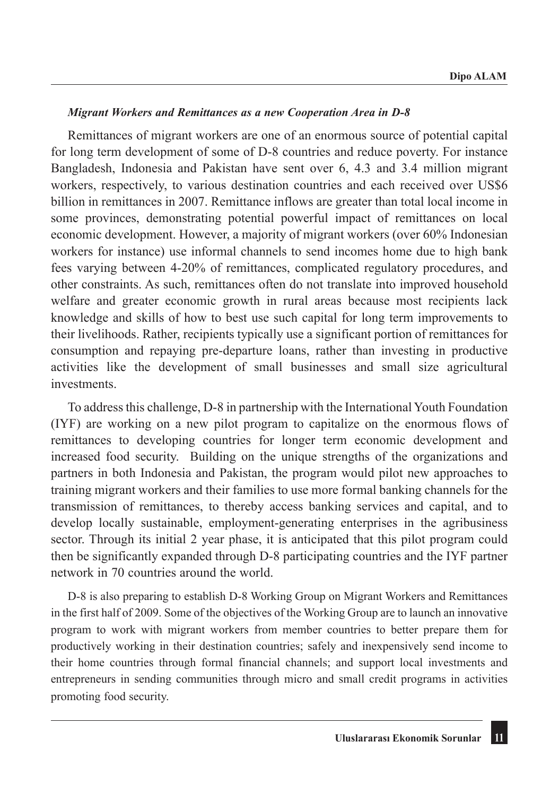#### *Migrant Workers and Remittances as a new Cooperation Area in D-8*

Remittances of migrant workers are one of an enormous source of potential capital for long term development of some of D-8 countries and reduce poverty. For instance Bangladesh, Indonesia and Pakistan have sent over 6, 4.3 and 3.4 million migrant workers, respectively, to various destination countries and each received over US\$6 billion in remittances in 2007. Remittance inflows are greater than total local income in some provinces, demonstrating potential powerful impact of remittances on local economic development. However, a majority of migrant workers (over 60% Indonesian workers for instance) use informal channels to send incomes home due to high bank fees varying between 4-20% of remittances, complicated regulatory procedures, and other constraints. As such, remittances often do not translate into improved household welfare and greater economic growth in rural areas because most recipients lack knowledge and skills of how to best use such capital for long term improvements to their livelihoods. Rather, recipients typically use a significant portion of remittances for consumption and repaying pre-departure loans, rather than investing in productive activities like the development of small businesses and small size agricultural investments.

To address this challenge, D-8 in partnership with the International Youth Foundation (IYF) are working on a new pilot program to capitalize on the enormous flows of remittances to developing countries for longer term economic development and increased food security. Building on the unique strengths of the organizations and partners in both Indonesia and Pakistan, the program would pilot new approaches to training migrant workers and their families to use more formal banking channels for the transmission of remittances, to thereby access banking services and capital, and to develop locally sustainable, employment-generating enterprises in the agribusiness sector. Through its initial 2 year phase, it is anticipated that this pilot program could then be significantly expanded through D-8 participating countries and the IYF partner network in 70 countries around the world.

D-8 is also preparing to establish D-8 Working Group on Migrant Workers and Remittances in the first half of 2009. Some of the objectives of the Working Group are to launch an innovative program to work with migrant workers from member countries to better prepare them for productively working in their destination countries; safely and inexpensively send income to their home countries through formal financial channels; and support local investments and entrepreneurs in sending communities through micro and small credit programs in activities promoting food security.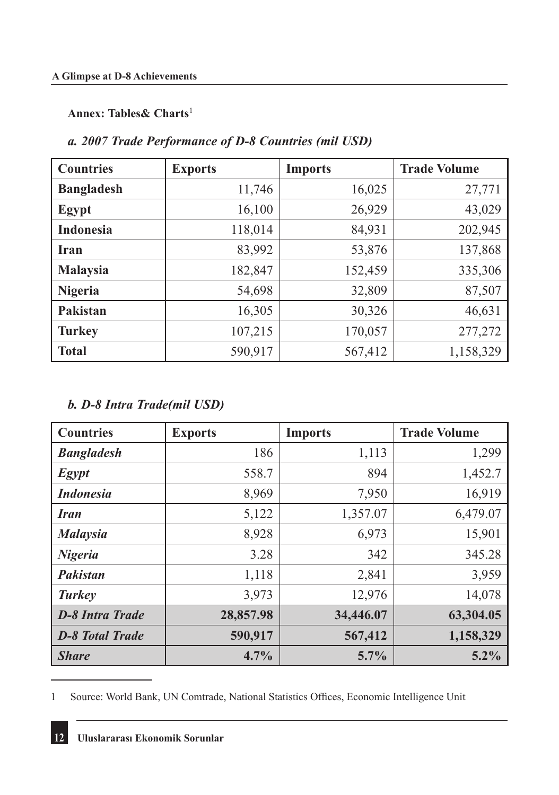#### **Annex: Tables& Charts**<sup>1</sup>

## *a. 2007 Trade Performance of D-8 Countries (mil USD)*

| <b>Countries</b>  | <b>Exports</b> | <b>Imports</b> | <b>Trade Volume</b> |
|-------------------|----------------|----------------|---------------------|
| <b>Bangladesh</b> | 11,746         | 16,025         | 27,771              |
| <b>Egypt</b>      | 16,100         | 26,929         | 43,029              |
| <b>Indonesia</b>  | 118,014        | 84,931         | 202,945             |
| <b>Iran</b>       | 83,992         | 53,876         | 137,868             |
| <b>Malaysia</b>   | 182,847        | 152,459        | 335,306             |
| <b>Nigeria</b>    | 54,698         | 32,809         | 87,507              |
| Pakistan          | 16,305         | 30,326         | 46,631              |
| <b>Turkey</b>     | 107,215        | 170,057        | 277,272             |
| <b>Total</b>      | 590,917        | 567,412        | 1,158,329           |

## *b. D-8 Intra Trade(mil USD)*

| <b>Countries</b>       | <b>Exports</b> | <b>Imports</b> | <b>Trade Volume</b> |
|------------------------|----------------|----------------|---------------------|
| <b>Bangladesh</b>      | 186            | 1,113          | 1,299               |
| <b>Egypt</b>           | 558.7          | 894            | 1,452.7             |
| <b>Indonesia</b>       | 8,969          | 7,950          | 16,919              |
| <b>Iran</b>            | 5,122          | 1,357.07       | 6,479.07            |
| <b>Malaysia</b>        | 8,928          | 6,973          | 15,901              |
| <b>Nigeria</b>         | 3.28           | 342            | 345.28              |
| Pakistan               | 1,118          | 2,841          | 3,959               |
| <b>Turkey</b>          | 3,973          | 12,976         | 14,078              |
| <b>D-8 Intra Trade</b> | 28,857.98      | 34,446.07      | 63,304.05           |
| <b>D-8 Total Trade</b> | 590,917        | 567,412        | 1,158,329           |
| <b>Share</b>           | 4.7%           | 5.7%           | $5.2\%$             |

<sup>1</sup> Source: World Bank, UN Comtrade, National Statistics Offices, Economic Intelligence Unit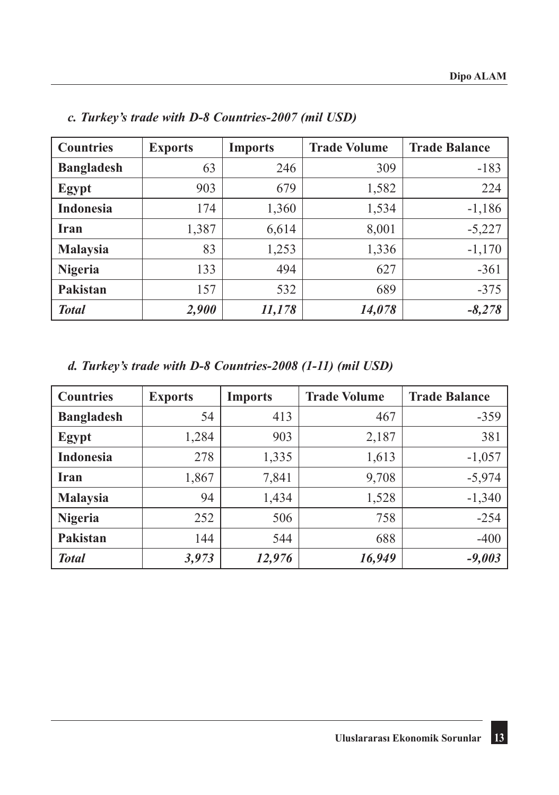| <b>Countries</b>  | <b>Exports</b> | <b>Imports</b> | <b>Trade Volume</b> | <b>Trade Balance</b> |
|-------------------|----------------|----------------|---------------------|----------------------|
| <b>Bangladesh</b> | 63             | 246            | 309                 | $-183$               |
| Egypt             | 903            | 679            | 1,582               | 224                  |
| <b>Indonesia</b>  | 174            | 1,360          | 1,534               | $-1,186$             |
| Iran              | 1,387          | 6,614          | 8,001               | $-5,227$             |
| <b>Malaysia</b>   | 83             | 1,253          | 1,336               | $-1,170$             |
| <b>Nigeria</b>    | 133            | 494            | 627                 | $-361$               |
| Pakistan          | 157            | 532            | 689                 | $-375$               |
| <b>Total</b>      | 2,900          | 11,178         | 14,078              | $-8,278$             |

*c. Turkey's trade with D-8 Countries-2007 (mil USD)*

*d. Turkey's trade with D-8 Countries-2008 (1-11) (mil USD)*

| <b>Countries</b>  | <b>Exports</b> | <b>Imports</b> | <b>Trade Volume</b> | <b>Trade Balance</b> |
|-------------------|----------------|----------------|---------------------|----------------------|
| <b>Bangladesh</b> | 54             | 413            | 467                 | $-359$               |
| Egypt             | 1,284          | 903            | 2,187               | 381                  |
| <b>Indonesia</b>  | 278            | 1,335          | 1,613               | $-1,057$             |
| <b>Iran</b>       | 1,867          | 7,841          | 9,708               | $-5,974$             |
| <b>Malaysia</b>   | 94             | 1,434          | 1,528               | $-1,340$             |
| <b>Nigeria</b>    | 252            | 506            | 758                 | $-254$               |
| Pakistan          | 144            | 544            | 688                 | $-400$               |
| <b>Total</b>      | 3,973          | 12,976         | 16,949              | $-9,003$             |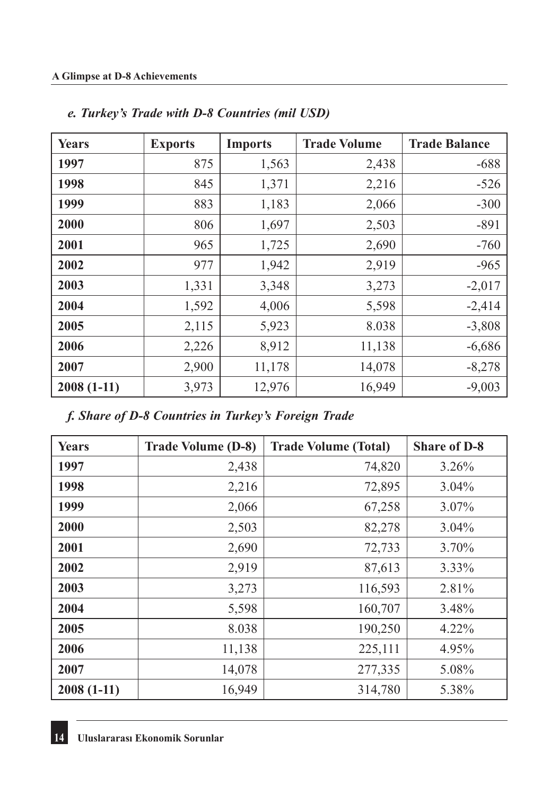| <b>Years</b> | <b>Exports</b> | <b>Imports</b> | <b>Trade Volume</b> | <b>Trade Balance</b> |
|--------------|----------------|----------------|---------------------|----------------------|
| 1997         | 875            | 1,563          | 2,438               | $-688$               |
| 1998         | 845            | 1,371          | 2,216               | $-526$               |
| 1999         | 883            | 1,183          | 2,066               | $-300$               |
| 2000         | 806            | 1,697          | 2,503               | $-891$               |
| 2001         | 965            | 1,725          | 2,690               | $-760$               |
| 2002         | 977            | 1,942          | 2,919               | $-965$               |
| 2003         | 1,331          | 3,348          | 3,273               | $-2,017$             |
| 2004         | 1,592          | 4,006          | 5,598               | $-2,414$             |
| 2005         | 2,115          | 5,923          | 8.038               | $-3,808$             |
| 2006         | 2,226          | 8,912          | 11,138              | $-6,686$             |
| 2007         | 2,900          | 11,178         | 14,078              | $-8,278$             |
| $2008(1-11)$ | 3,973          | 12,976         | 16,949              | $-9,003$             |

## *e. Turkey's Trade with D-8 Countries (mil USD)*

*f. Share of D-8 Countries in Turkey's Foreign Trade*

| <b>Years</b> | <b>Trade Volume (D-8)</b> | <b>Trade Volume (Total)</b> | <b>Share of D-8</b> |
|--------------|---------------------------|-----------------------------|---------------------|
| 1997         | 2,438                     | 74,820                      | 3.26%               |
| 1998         | 2,216                     | 72,895                      | $3.04\%$            |
| 1999         | 2,066                     | 67,258                      | 3.07%               |
| 2000         | 2,503                     | 82,278                      | $3.04\%$            |
| 2001         | 2,690                     | 72,733                      | 3.70%               |
| 2002         | 2,919                     | 87,613                      | 3.33%               |
| 2003         | 3,273                     | 116,593                     | 2.81%               |
| 2004         | 5,598                     | 160,707                     | 3.48%               |
| 2005         | 8.038                     | 190,250                     | 4.22%               |
| 2006         | 11,138                    | 225,111                     | 4.95%               |
| 2007         | 14,078                    | 277,335                     | 5.08%               |
| $2008(1-11)$ | 16,949                    | 314,780                     | 5.38%               |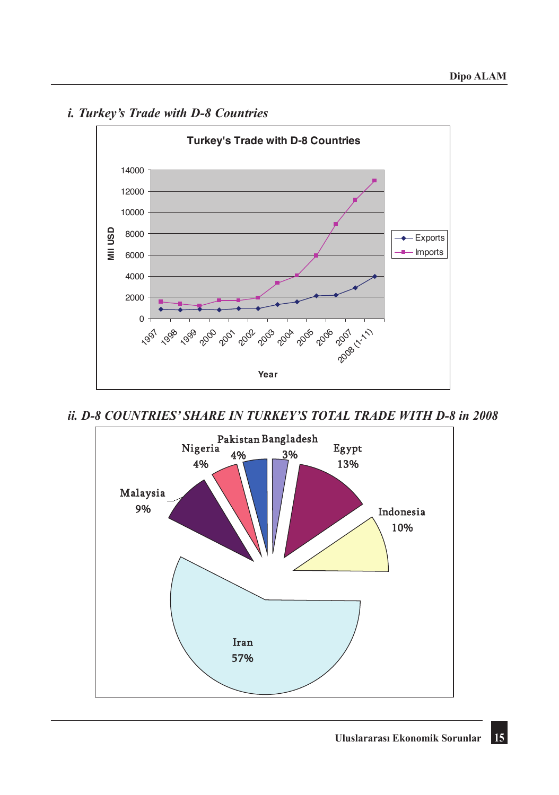

# *i. Turkey's Trade with D-8 Countries i. Turkey's Trade with D-8 Countries*

*ii. D-8 COUNTRIES' SHARE IN TURKEY'S TOTAL TRADE WITH D-8 in 2008*